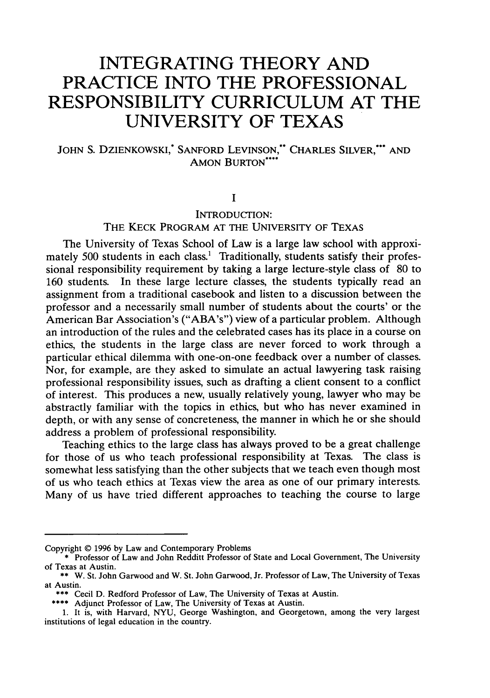# **INTEGRATING THEORY AND PRACTICE INTO THE PROFESSIONAL RESPONSIBILITY CURRICULUM AT THE UNIVERSITY OF TEXAS**

# JOHN S. DZIENKOWSKI,\* SANFORD LEVINSON,\* CHARLES SILVER,\*\*\* AND AMON BURTON\*\*\*

# **I**

# INTRODUCTION: THE KECK PROGRAM AT THE UNIVERSITY OF TEXAS

The University of Texas School of Law is a large law school with approximately 500 students in each class.' Traditionally, students satisfy their professional responsibility requirement by taking a large lecture-style class of 80 to 160 students. In these large lecture classes, the students typically read an assignment from a traditional casebook and listen to a discussion between the professor and a necessarily small number of students about the courts' or the American Bar Association's ("ABA's") view of a particular problem. Although an introduction of the rules and the celebrated cases has its place in a course on ethics, the students in the large class are never forced to work through a particular ethical dilemma with one-on-one feedback over a number of classes. Nor, for example, are they asked to simulate an actual lawyering task raising professional responsibility issues, such as drafting a client consent to a conflict of interest. This produces a new, usually relatively young, lawyer who may be abstractly familiar with the topics in ethics, but who has never examined in depth, or with any sense of concreteness, the manner in which he or she should address a problem of professional responsibility.

Teaching ethics to the large class has always proved to be a great challenge for those of us who teach professional responsibility at Texas. The class is somewhat less satisfying than the other subjects that we teach even though most of us who teach ethics at Texas view the area as one of our primary interests. Many of us have tried different approaches to teaching the course to large

Copyright © 1996 by Law and Contemporary Problems

<sup>\*</sup> Professor of Law and John Redditt Professor of State and Local Government, The University of Texas at Austin.

<sup>\*\*</sup> W. St. John Garwood and W. St. John Garwood, Jr. Professor of Law, The University of Texas at Austin.

<sup>\*\*\*</sup> Cecil D. Redford Professor of Law, The University of Texas at Austin.

<sup>\*\*\*\*</sup> Adjunct Professor of Law, The University of Texas at Austin.

<sup>1.</sup> It is, with Harvard, NYU, George Washington, and Georgetown, among the very largest institutions of legal education in the country.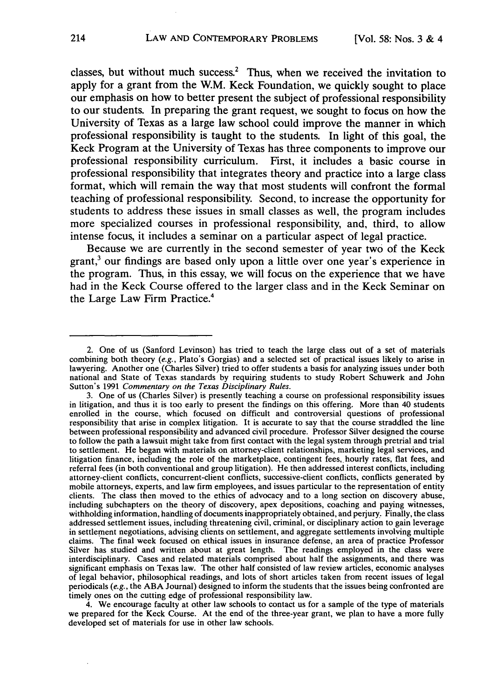classes, but without much success.<sup>2</sup> Thus, when we received the invitation to apply for a grant from the W.M. Keck Foundation, we quickly sought to place our emphasis on how to better present the subject of professional responsibility to our students. In preparing the grant request, we sought to focus on how the University of Texas as a large law school could improve the manner in which professional responsibility is taught to the students. In light of this goal, the Keck Program at the University of Texas has three components to improve our professional responsibility curriculum. First, it includes a basic course in professional responsibility that integrates theory and practice into a large class format, which will remain the way that most students will confront the formal teaching of professional responsibility. Second, to increase the opportunity for students to address these issues in small classes as well, the program includes more specialized courses in professional responsibility, and, third, to allow intense focus, it includes a seminar on a particular aspect of legal practice.

Because we are currently in the second semester of year two of the Keck grant, $3$  our findings are based only upon a little over one year's experience in the program. Thus, in this essay, we will focus on the experience that we have had in the Keck Course offered to the larger class and in the Keck Seminar on the Large Law Firm Practice.4

<sup>2.</sup> One of us (Sanford Levinson) has tried to teach the large class out of a set of materials combining both theory *(e.g.,* Plato's Gorgias) and a selected set of practical issues likely to arise in lawyering. Another one (Charles Silver) tried to offer students a basis for analyzing issues under both national and State of Texas standards by requiring students to study Robert Schuwerk and John Sutton's 1991 *Commentary on the Texas Disciplinary Rules.*

<sup>3.</sup> One of us (Charles Silver) is presently teaching a course on professional responsibility issues in litigation, and thus it is too early to present the findings on this offering. More than 40 students enrolled in the course, which focused on difficult and controversial questions of professional responsibility that arise in complex litigation. It is accurate to say that the course straddled the line between professional responsibility and advanced civil procedure. Professor Silver designed the course to follow the path a lawsuit might take from first contact with the legal system through pretrial and trial to settlement. He began with materials on attorney-client relationships, marketing legal services, and litigation finance, including the role of the marketplace, contingent fees, hourly rates, flat fees, and referral fees (in both conventional and group litigation). He then addressed interest conflicts, including attorney-client conflicts, concurrent-client conflicts, successive-client conflicts, conflicts generated by mobile attorneys, experts, and law firm employees, and issues particular to the representation of entity clients. The class then moved to the ethics of advocacy and to a long section on discovery abuse, including subchapters on the theory of discovery, apex depositions, coaching and paying witnesses, withholding information, handling of documents inappropriately obtained, and perjury. Finally, the class addressed settlement issues, including threatening civil, criminal, or disciplinary action to gain leverage in settlement negotiations, advising clients on settlement, and aggregate settlements involving multiple claims. The final week focused on ethical issues in insurance defense, an area of practice Professor Silver has studied and written about at great length. The readings employed in the class were interdisciplinary. Cases and related materials comprised about half the assignments, and there was significant emphasis on Texas law. The other half consisted of law review articles, economic analyses of legal behavior, philosophical readings, and lots of short articles taken from recent issues of legal periodicals *(e.g.,* the ABA Journal) designed to inform the students that the issues being confronted are timely ones on the cutting edge of professional responsibility law.

<sup>4.</sup> We encourage faculty at other law schools to contact us for a sample of the type of materials we prepared for the Keck Course. At the end of the three-year grant, we plan to have a more fully developed set of materials for use in other law schools.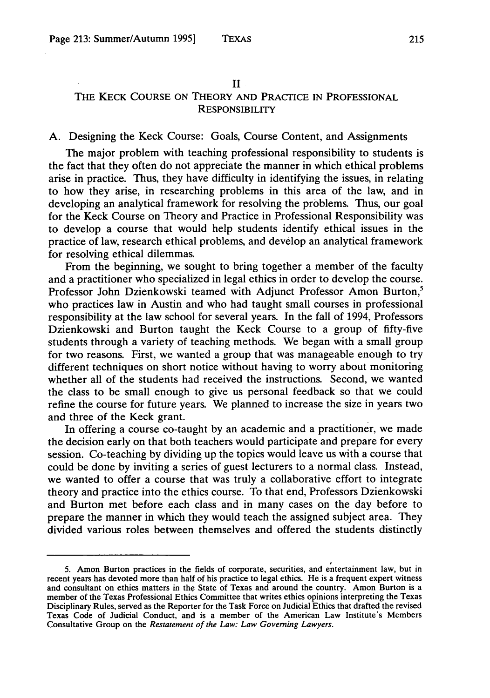#### II

# THE KECK COURSE ON THEORY **AND** PRACTICE IN PROFESSIONAL **RESPONSIBILITY**

# A. Designing the Keck Course: Goals, Course Content, and Assignments

The major problem with teaching professional responsibility to students is the fact that they often do not appreciate the manner in which ethical problems arise in practice. Thus, they have difficulty in identifying the issues, in relating to how they arise, in researching problems in this area of the law, and in developing an analytical framework for resolving the problems. Thus, our goal for the Keck Course on Theory and Practice in Professional Responsibility was to develop a course that would help students identify ethical issues in the practice of law, research ethical problems, and develop an analytical framework for resolving ethical dilemmas.

From the beginning, we sought to bring together a member of the faculty and a practitioner who specialized in legal ethics in order to develop the course. Professor John Dzienkowski teamed with Adjunct Professor Amon Burton,<sup>5</sup> who practices law in Austin and who had taught small courses in professional responsibility at the law school for several years. In the fall of 1994, Professors Dzienkowski and Burton taught the Keck Course to a group of fifty-five students through a variety of teaching methods. We began with a small group for two reasons. First, we wanted a group that was manageable enough to try different techniques on short notice without having to worry about monitoring whether all of the students had received the instructions. Second, we wanted the class to be small enough to give us personal feedback so that we could refine the course for future years. We planned to increase the size in years two and three of the Keck grant.

In offering a course co-taught by an academic and a practitioner, we made the decision early on that both teachers would participate and prepare for every session. Co-teaching by dividing up the topics would leave us with a course that could be done by inviting a series of guest lecturers to a normal class. Instead, we wanted to offer a course that was truly a collaborative effort to integrate theory and practice into the ethics course. To that end, Professors Dzienkowski and Burton met before each class and in many cases on the day before to prepare the manner in which they would teach the assigned subject area. They divided various roles between themselves and offered the students distinctly

<sup>5.</sup> Amon Burton practices in the fields of corporate, securities, and entertainment law, but in recent years has devoted more than half of his practice to legal ethics. He is a frequent expert witness and consultant on ethics matters in the State of Texas and around the country. Amon Burton is a member of the Texas Professional Ethics Committee that writes ethics opinions interpreting the Texas Disciplinary Rules, served as the Reporter for the Task Force on Judicial Ethics that drafted the revised Texas Code of Judicial Conduct, and is a member of the American Law Institute's Members Consultative Group on the *Restatement of the Law: Law Governing Lawyers.*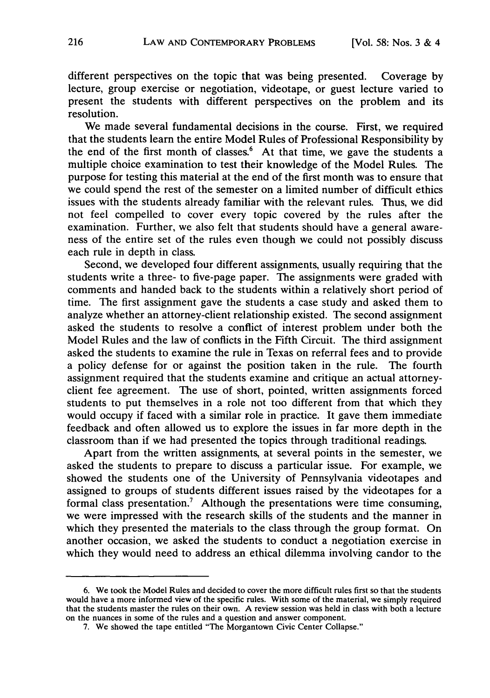different perspectives on the topic that was being presented. Coverage by lecture, group exercise or negotiation, videotape, or guest lecture varied to present the students with different perspectives on the problem and its resolution.

We made several fundamental decisions in the course. First, we required that the students learn the entire Model Rules of Professional Responsibility by the end of the first month of classes.<sup>6</sup> At that time, we gave the students a multiple choice examination to test their knowledge of the Model Rules. The purpose for testing this material at the end of the first month was to ensure that we could spend the rest of the semester on a limited number of difficult ethics issues with the students already familiar with the relevant rules. Thus, we did not feel compelled to cover every topic covered by the rules after the examination. Further, we also felt that students should have a general awareness of the entire set of the rules even though we could not possibly discuss each rule in depth in class.

Second, we developed four different assignments, usually requiring that the students write a three- to five-page paper. The assignments were graded with comments and handed back to the students within a relatively short period of time. The first assignment gave the students a case study and asked them to analyze whether an attorney-client relationship existed. The second assignment asked the students to resolve a conflict of interest problem under both the Model Rules and the law of conflicts in the Fifth Circuit. The third assignment asked the students to examine the rule in Texas on referral fees and to provide a policy defense for or against the position taken in the rule. The fourth assignment required that the students examine and critique an actual attorneyclient fee agreement. The use of short, pointed, written assignments forced students to put themselves in a role not too different from that which they would occupy if faced with a similar role in practice. It gave them immediate feedback and often allowed us to explore the issues in far more depth in the classroom than if we had presented the topics through traditional readings.

Apart from the written assignments, at several points in the semester, we asked the students to prepare to discuss a particular issue. For example, we showed the students one of the University of Pennsylvania videotapes and assigned to groups of students different issues raised by the videotapes for a formal class presentation.<sup>7</sup> Although the presentations were time consuming, we were impressed with the research skills of the students and the manner in which they presented the materials to the class through the group format. On another occasion, we asked the students to conduct a negotiation exercise in which they would need to address an ethical dilemma involving candor to the

<sup>6.</sup> We took the Model Rules and decided to cover the more difficult rules first so that the students would have a more informed view of the specific rules. With some of the material, we simply required that the students master the rules on their own. A review session was held in class with both a lecture on the nuances in some of the rules and a question and answer component.

<sup>7.</sup> We showed the tape entitled "The Morgantown Civic Center Collapse."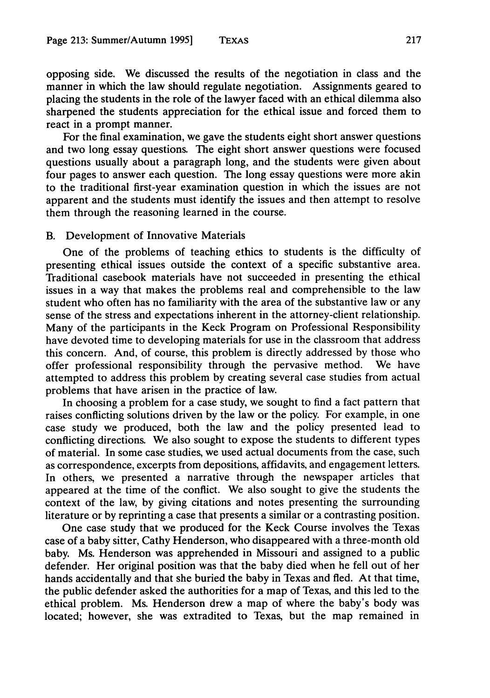opposing side. We discussed the results of the negotiation in class and the manner in which the law should regulate negotiation. Assignments geared to placing the students in the role of the lawyer faced with an ethical dilemma also sharpened the students appreciation for the ethical issue and forced them to react in a prompt manner.

For the final examination, we gave the students eight short answer questions and two long essay questions. The eight short answer questions were focused questions usually about a paragraph long, and the students were given about four pages to answer each question. The long essay questions were more akin to the traditional first-year examination question in which the issues are not apparent and the students must identify the issues and then attempt to resolve them through the reasoning learned in the course.

## B. Development of Innovative Materials

One of the problems of teaching ethics to students is the difficulty of presenting ethical issues outside the context of a specific substantive area. Traditional casebook materials have not succeeded in presenting the ethical issues in a way that makes the problems real and comprehensible to the law student who often has no familiarity with the area of the substantive law or any sense of the stress and expectations inherent in the attorney-client relationship. Many of the participants in the Keck Program on Professional Responsibility have devoted time to developing materials for use in the classroom that address this concern. And, of course, this problem is directly addressed by those who offer professional responsibility through the pervasive method. We have attempted to address this problem by creating several case studies from actual problems that have arisen in the practice of law.

In choosing a problem for a case study, we sought to find a fact pattern that raises conflicting solutions driven by the law or the policy. For example, in one case study we produced, both the law and the policy presented lead to conflicting directions. We also sought to expose the students to different types of material. In some case studies, we used actual documents from the case, such as correspondence, excerpts from depositions, affidavits, and engagement letters. In others, we presented a narrative through the newspaper articles that appeared at the time of the conflict. We also sought to give the students the context of the law, by giving citations and notes presenting the surrounding literature or by reprinting a case that presents a similar or a contrasting position.

One case study that we produced for the Keck Course involves the Texas case of a baby sitter, Cathy Henderson, who disappeared with a three-month old baby. Ms. Henderson was apprehended in Missouri and assigned to a public defender. Her original position was that the baby died when he fell out of her hands accidentally and that she buried the baby in Texas and fled. At that time, the public defender asked the authorities for a map of Texas, and this led to the ethical problem. Ms. Henderson drew a map of where the baby's body was located; however, she was extradited to Texas, but the map remained in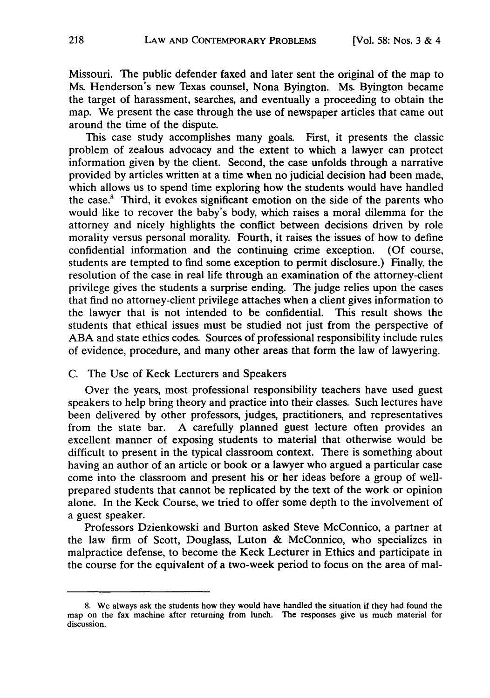Missouri. The public defender faxed and later sent the original of the map to Ms. Henderson's new Texas counsel, Nona Byington. Ms. Byington became the target of harassment, searches, and eventually a proceeding to obtain the map. We present the case through the use of newspaper articles that came out around the time of the dispute.

This case study accomplishes many goals. First, it presents the classic problem of zealous advocacy and the extent to which a lawyer can protect information given by the client. Second, the case unfolds through a narrative provided by articles written at a time when no judicial decision had been made, which allows us to spend time exploring how the students would have handled the case.' Third, it evokes significant emotion on the side of the parents who would like to recover the baby's body, which raises a moral dilemma for the attorney and nicely highlights the conflict between decisions driven by role morality versus personal morality. Fourth, it raises the issues of how to define confidential information and the continuing crime exception. (Of course, students are tempted to find some exception to permit disclosure.) Finally, the resolution of the case in real life through an examination of the attorney-client privilege gives the students a surprise ending. The judge relies upon the cases that find no attorney-client privilege attaches when a client gives information to the lawyer that is not intended to be confidential. This result shows the students that ethical issues must be studied not just from the perspective of ABA and state ethics codes. Sources of professional responsibility include rules of evidence, procedure, and many other areas that form the law of lawyering.

## C. The Use of Keck Lecturers and Speakers

Over the years, most professional responsibility teachers have used guest speakers to help bring theory and practice into their classes. Such lectures have been delivered by other professors, judges, practitioners, and representatives from the state bar. A carefully planned guest lecture often provides an excellent manner of exposing students to material that otherwise would be difficult to present in the typical classroom context. There is something about having an author of an article or book or a lawyer who argued a particular case come into the classroom and present his or her ideas before a group of wellprepared students that cannot be replicated by the text of the work or opinion alone. In the Keck Course, we tried to offer some depth to the involvement of a guest speaker.

Professors Dzienkowski and Burton asked Steve McConnico, a partner at the law firm of Scott, Douglass, Luton & McConnico, who specializes in malpractice defense, to become the Keck Lecturer in Ethics and participate in the course for the equivalent of a two-week period to focus on the area of mal-

<sup>8.</sup> We always ask the students how they would have handled the situation if they had found the map on the fax machine after returning from lunch. The responses give us much material for discussion.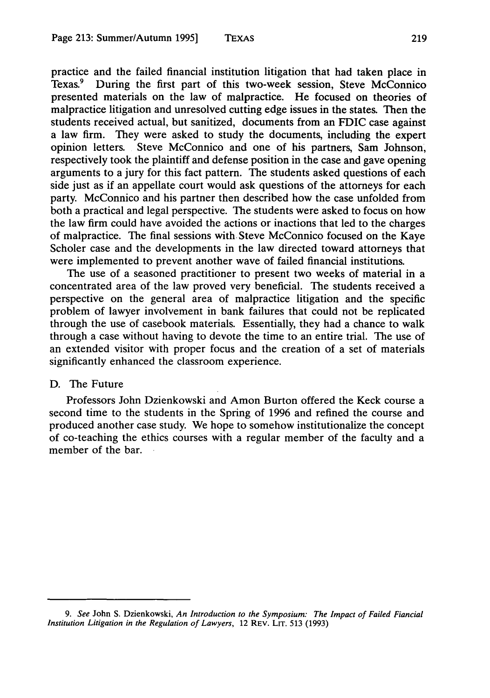practice and the failed financial institution litigation that had taken place in Texas.<sup>9</sup> During the first part of this two-week session, Steve McConnico presented materials on the law of malpractice. He focused on theories of malpractice litigation and unresolved cutting edge issues in the states. Then the students received actual, but sanitized, documents from an FDIC case against a law firm. They were asked to study the documents, including the expert opinion letters. Steve McConnico and one of his partners, Sam Johnson, respectively took the plaintiff and defense position in the case and gave opening arguments to a jury for this fact pattern. The students asked questions of each side just as if an appellate court would ask questions of the attorneys for each party. McConnico and his partner then described how the case unfolded from both a practical and legal perspective. The students were asked to focus on how the law firm could have avoided the actions or inactions that led to the charges of malpractice. The final sessions with. Steve McConnico focused on the Kaye Scholer case and the developments in the law directed toward attorneys that were implemented to prevent another wave of failed financial institutions.

The use of a seasoned practitioner to present two weeks of material in a concentrated area of the law proved very beneficial. The students received a perspective on the general area of malpractice litigation and the specific problem of lawyer involvement in bank failures that could not be replicated through the use of casebook materials. Essentially, they had a chance to walk through a case without having to devote the time to an entire trial. The use of an extended visitor with proper focus and the creation of a set of materials significantly enhanced the classroom experience.

## D. The Future

Professors John Dzienkowski and Amon Burton offered the Keck course a second time to the students in the Spring of 1996 and refined the course and produced another case study. We hope to somehow institutionalize the concept of co-teaching the ethics courses with a regular member of the faculty and a member of the bar.

*<sup>9.</sup> See* John S. Dzienkowski, *An Introduction to* the *Symposium: The Impact of Failed Fiancial Institution Litigation in the Regulation of Lawyers,* 12 REV. LIT. 513 (1993)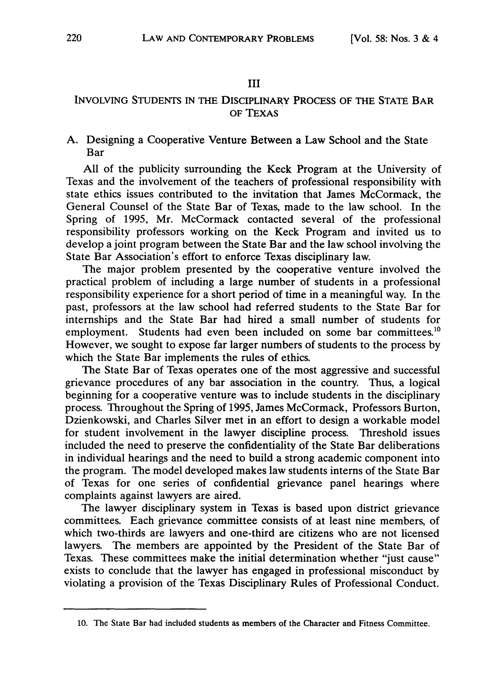#### **III**

# **INVOLVING STUDENTS IN THE DISCIPLINARY PROCESS** OF **THE STATE BAR OF TEXAS**

## A. Designing a Cooperative Venture Between a Law School and the State Bar

**All** of the publicity surrounding the Keck Program at the University of Texas and the involvement of the teachers of professional responsibility with state ethics issues contributed to the invitation that James McCormack, the General Counsel of the State Bar of Texas, made to the law school. In the Spring of 1995, Mr. McCormack contacted several of the professional responsibility professors working on the Keck Program and invited us to develop a joint program between the State Bar and the law school involving the State Bar Association's effort to enforce Texas disciplinary law.

The major problem presented **by** the cooperative venture involved the practical problem of including a large number of students in a professional responsibility experience for a short period of time in a meaningful way. In the past, professors at the law school had referred students to the State Bar for internships and the State Bar had hired a small number of students for employment. Students had even been included on some bar committees.<sup>10</sup> However, we sought to expose far larger numbers of students to the process **by** which the State Bar implements the rules of ethics.

The State Bar of Texas operates one of the most aggressive and successful grievance procedures of any bar association in the country. Thus, a logical beginning for a cooperative venture was to include students in the disciplinary process. Throughout the Spring of **1995,** James McCormack, Professors Burton, Dzienkowski, and Charles Silver met in an effort to design a workable model for student involvement in the lawyer discipline process. Threshold issues included the need to preserve the confidentiality of the State Bar deliberations in individual hearings and the need to build a strong academic component into the program. The model developed makes law students interns of the State Bar of Texas for one series of confidential grievance panel hearings where complaints against lawyers are aired.

The lawyer disciplinary system in Texas is based upon district grievance committees. Each grievance committee consists of at least nine members, of which two-thirds are lawyers and one-third are citizens who are not licensed lawyers. The members are appointed by the President of the State Bar of Texas. These committees make the initial determination whether "just cause" exists to conclude that the lawyer has engaged in professional misconduct by violating a provision of the Texas Disciplinary Rules of Professional Conduct.

<sup>10.</sup> The State Bar had included students as members of the Character and Fitness Committee.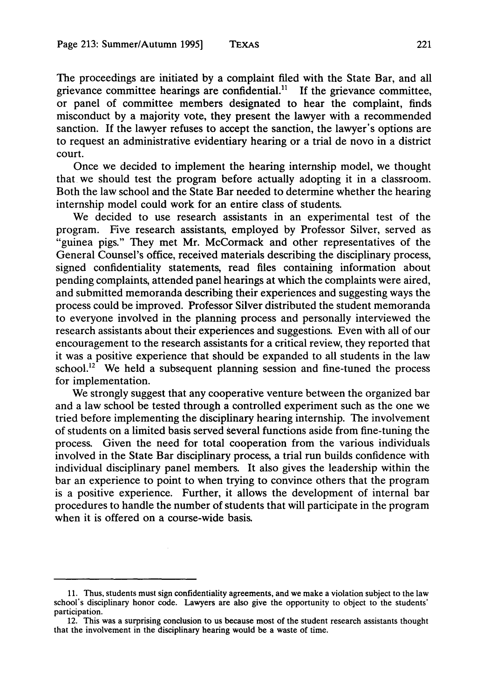The proceedings are initiated by a complaint filed with the State Bar, and all grievance committee hearings are confidential.1' **If** the grievance committee, or panel of committee members designated to hear the complaint, finds misconduct by a majority vote, they present the lawyer with a recommended sanction. If the lawyer refuses to accept the sanction, the lawyer's options are to request an administrative evidentiary hearing or a trial de novo in a district court.

Once we decided to implement the hearing internship model, we thought that we should test the program before actually adopting it in a classroom. Both the law school and the State Bar needed to determine whether the hearing internship model could work for an entire class of students.

We decided to use research assistants in an experimental test of the program. Five research assistants, employed by Professor Silver, served as "guinea pigs." They met Mr. McCormack and other representatives of the General Counsel's office, received materials describing the disciplinary process, signed confidentiality statements, read files containing information about pending complaints, attended panel hearings at which the complaints were aired, and submitted memoranda describing their experiences and suggesting ways the process could be improved. Professor Silver distributed the student memoranda to everyone involved in the planning process and personally interviewed the research assistants about their experiences and suggestions. Even with all of our encouragement to the research assistants for a critical review, they reported that it was a positive experience that should be expanded to all students in the law school.<sup>12</sup> We held a subsequent planning session and fine-tuned the process for implementation.

We strongly suggest that any cooperative venture between the organized bar and a law school be tested through a controlled experiment such as the one we tried before implementing the disciplinary hearing internship. The involvement of students on a limited basis served several functions aside from fine-tuning the process. Given the need for total cooperation from the various individuals involved in the State Bar disciplinary process, a trial run builds confidence with individual disciplinary panel members. It also gives the leadership within the bar an experience to point to when trying to convince others that the program is a positive experience. Further, it allows the development of internal bar procedures to handle the number of students that will participate in the program when it is offered on a course-wide basis.

<sup>11.</sup> Thus, students must sign confidentiality agreements, and we make a violation subject to the law school's disciplinary honor code. Lawyers are also give the opportunity to object to the students' participation.

<sup>12.</sup> This was a surprising conclusion to us because most of the student research assistants thought that the involvement in the disciplinary hearing would be a waste of time.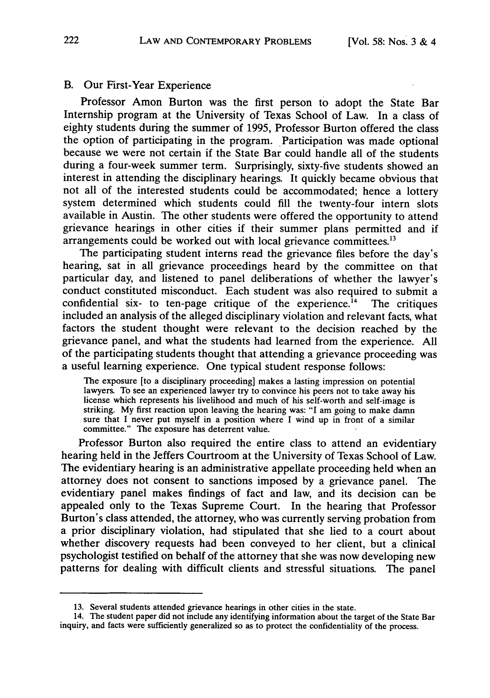## B. Our First-Year Experience

Professor Amon Burton was the first person to adopt the State Bar Internship program at the University of Texas School of Law. In a class of eighty students during the summer of 1995, Professor Burton offered the class the option of participating in the program. Participation was made optional because we were not certain if the State Bar could handle all of the students during a four-week summer term. Surprisingly, sixty-five students showed an interest in attending the disciplinary hearings. It quickly became obvious that not all of the interested students could be accommodated; hence a lottery system determined which students could fill the twenty-four intern slots available in Austin. The other students were offered the opportunity to attend grievance hearings in other cities if their summer plans permitted and if arrangements could be worked out with local grievance committees.<sup>13</sup>

The participating student interns read the grievance files before the day's hearing, sat in all grievance proceedings heard by the committee on that particular day, and listened to panel deliberations of whether the lawyer's conduct constituted misconduct. Each student was also required to submit a confidential six- to ten-page critique of the experience.<sup> $14$ </sup> The critiques included an analysis of the alleged disciplinary violation and relevant facts, what factors the student thought were relevant to the decision reached by the grievance panel, and what the students had learned from the experience. All of the participating students thought that attending a grievance proceeding was a useful learning experience. One typical student response follows:

The exposure [to a disciplinary proceeding] makes a lasting impression on potential lawyers. To see an experienced lawyer try to convince his peers not to take away his license which represents his livelihood and much of his self-worth and self-image is striking. My first reaction upon leaving the hearing was: "I am going to make damn sure that I never put myself in a position where I wind up in front of a similar committee." The exposure has deterrent value.

Professor Burton also required the entire class to attend an evidentiary hearing held in the Jeffers Courtroom at the University of Texas School of Law. The evidentiary hearing is an administrative appellate proceeding held when an attorney does not consent to sanctions imposed by a grievance panel. The evidentiary panel makes findings of fact and law, and its decision can be appealed only to the Texas Supreme Court. In the hearing that Professor Burton's class attended, the attorney, who was currently serving probation from a prior disciplinary violation, had stipulated that she lied to a court about whether discovery requests had been conveyed to her client, but a clinical psychologist testified on behalf of the attorney that she was now developing new patterns for dealing with difficult clients and stressful situations. The panel

<sup>13.</sup> Several students attended grievance hearings in other cities in the state.

<sup>14.</sup> The student paper did not include any identifying information about the target of the State Bar inquiry, and facts were sufficiently generalized so as to protect the confidentiality of the process.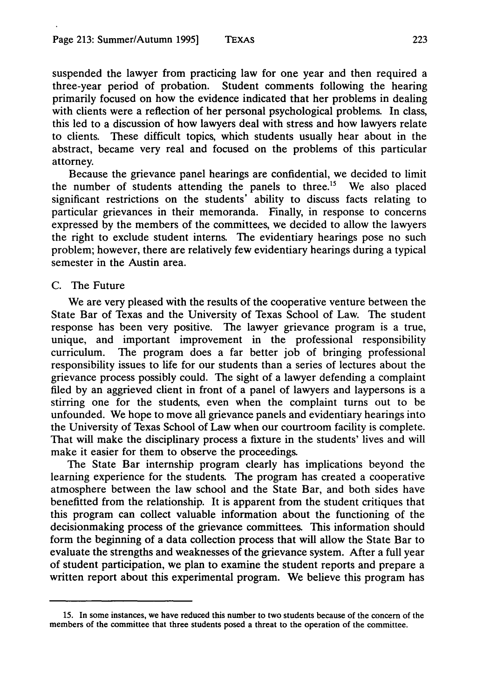suspended the lawyer from practicing law for one year and then required a three-year period of probation. Student comments following the hearing primarily focused on how the evidence indicated that her problems in dealing with clients were a reflection of her personal psychological problems. In class, this led to a discussion of how lawyers deal with stress and how lawyers relate to clients. These difficult topics, which students usually hear about in the abstract, became very real and focused on the problems of this particular attorney.

Because the grievance panel hearings are confidential, we decided to limit the number of students attending the panels to three.<sup>15</sup> We also placed significant restrictions on the students' ability to discuss facts relating to particular grievances in their memoranda. Finally, in response to concerns expressed by the members of the committees, we decided to allow the lawyers the right to exclude student interns. The evidentiary hearings pose no such problem; however, there are relatively few evidentiary hearings during a typical semester in the Austin area.

## C. The Future

We are very pleased with the results of the cooperative venture between the State Bar of Texas and the University of Texas School of Law. The student response has been very positive. The lawyer grievance program is a true, unique, and important improvement in the professional responsibility curriculum. The program does a far better job of bringing professional responsibility issues to life for our students than a series of lectures about the grievance process possibly could. The sight of a lawyer defending a complaint filed by an aggrieved client in front of a panel of lawyers and laypersons is a stirring one for the students, even when the complaint turns out to be unfounded. We hope to move all grievance panels and evidentiary hearings into the University of Texas School of Law when our courtroom facility is complete. That will make the disciplinary process a fixture in the students' lives and will make it easier for them to observe the proceedings.

The State Bar internship program clearly has implications beyond the learning experience for the students. The program has created a cooperative atmosphere between the law school and the State Bar, and both sides have benefitted from the relationship. It is apparent from the student critiques that this program can collect valuable information about the functioning of the decisionmaking process of the grievance committees. This information should form the beginning of a data collection process that will allow the State Bar to evaluate the strengths and weaknesses of the grievance system. After a full year of student participation, we plan to examine the student reports and prepare a written report about this experimental program. We believe this program has

**<sup>15.</sup>** In some instances, we have reduced this number to two students because of the concern of the members of the committee that three students posed a threat to the operation of the committee.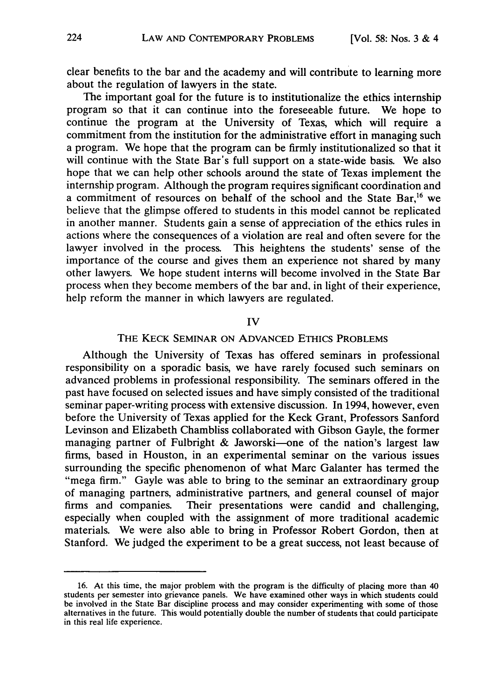clear benefits to the bar and the academy and will contribute to learning more about the regulation of lawyers in the state.

The important goal for the future is to institutionalize the ethics internship program so that it can continue into the foreseeable future. We hope to continue the program at the University of Texas, which will require a commitment from the institution for the administrative effort in managing such a program. We hope that the program can be firmly institutionalized so that it will continue with the State Bar's full support on a state-wide basis. We also hope that we can help other schools around the state of Texas implement the internship program. Although the program requires significant coordination and a commitment of resources on behalf of the school and the State Bar,<sup>16</sup> we believe that the glimpse offered to students in this model cannot be replicated in another manner. Students gain a sense of appreciation of the ethics rules in actions where the consequences of a violation are real and often severe for the lawyer involved in the process. This heightens the students' sense of the importance of the course and gives them an experience not shared by many other lawyers. We hope student interns will become involved in the State Bar process when they become members of the bar and, in light of their experience, help reform the manner in which lawyers are regulated.

#### IV

## THE KECK SEMINAR ON ADVANCED ETHIcs PROBLEMS

Although the University of Texas has offered seminars in professional responsibility on a sporadic basis, we have rarely focused such seminars on advanced problems in professional responsibility. The seminars offered in the past have focused on selected issues and have simply consisted of the traditional seminar paper-writing process with extensive discussion. In 1994, however, even before the University of Texas applied for the Keck Grant, Professors Sanford Levinson and Elizabeth Chambliss collaborated with Gibson Gayle, the former managing partner of Fulbright & Jaworski-one of the nation's largest law firms, based in Houston, in an experimental seminar on the various issues surrounding the specific phenomenon of what Marc Galanter has termed the "mega firm." Gayle was able to bring to the seminar an extraordinary group of managing partners, administrative partners, and general counsel of major firms and companies. Their presentations were candid and challenging, especially when coupled with the assignment of more traditional academic materials. We were also able to bring in Professor Robert Gordon, then at Stanford. We judged the experiment to be a great success, not least because of

<sup>16.</sup> At this time, the major problem with the program is the difficulty of placing more than 40 students per semester into grievance panels. We have examined other ways in which students could be involved in the State Bar discipline process and may consider experimenting with some of those alternatives in the future. This would potentially double the number of students that could participate in this real life experience.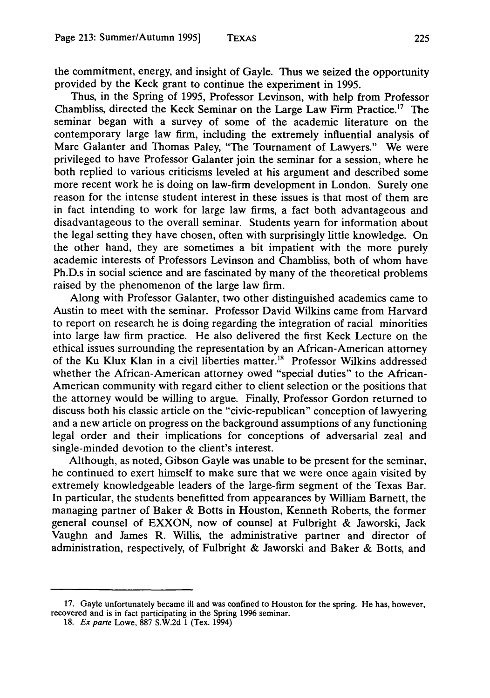the commitment, energy, and insight of Gayle. Thus we seized the opportunity provided by the Keck grant to continue the experiment in 1995.

Thus, in the Spring of 1995, Professor Levinson, with help from Professor Chambliss, directed the Keck Seminar on the Large Law Firm Practice.<sup>17</sup> The seminar began with a survey of some of the academic literature on the contemporary large law firm, including the extremely influential analysis of Marc Galanter and Thomas Paley, "The Tournament of Lawyers." We were privileged to have Professor Galanter join the seminar for a session, where he both replied to various criticisms leveled at his argument and described some more recent work he is doing on law-firm development in London. Surely one reason for the intense student interest in these issues is that most of them are in fact intending to work for large law firms, a fact both advantageous and disadvantageous to the overall seminar. Students yearn for information about the legal setting they have chosen, often with surprisingly little knowledge. On the other hand, they are sometimes a bit impatient with the more purely academic interests of Professors Levinson and Chambliss, both of whom have Ph.D.s in social science and are fascinated by many of the theoretical problems raised by the phenomenon of the large law firm.

Along with Professor Galanter, two other distinguished academics came to Austin to meet with the seminar. Professor David Wilkins came from Harvard to report on research he is doing regarding the integration of racial minorities into large law firm practice. He also delivered the first Keck Lecture on the ethical issues surrounding the representation by an African-American attorney of the Ku Klux Klan in a civil liberties matter.<sup>18</sup> Professor Wilkins addressed whether the African-American attorney owed "special duties" to the African-American community with regard either to client selection or the positions that the attorney would be willing to argue. Finally, Professor Gordon returned to discuss both his classic article on the "civic-republican" conception of lawyering and a new article on progress on the background assumptions of any functioning legal order and their implications for conceptions of adversarial zeal and single-minded devotion to the client's interest.

Although, as noted, Gibson Gayle was unable to be present for the seminar, he continued to exert himself to make sure that we were once again visited by extremely knowledgeable leaders of the large-firm segment of the Texas Bar. In particular, the students benefitted from appearances by William Barnett, the managing partner of Baker & Botts in Houston, Kenneth Roberts, the former general counsel of EXXON, now of counsel at Fulbright & Jaworski, Jack Vaughn and James R. Willis, the administrative partner and director of administration, respectively, of Fulbright & Jaworski and Baker & Botts, and

<sup>17.</sup> Gayle unfortunately became ill and was confined to Houston for the spring. He has, however, recovered and is in fact participating in the Spring 1996 seminar.

<sup>18.</sup> Ex parte Lowe, 887 S.W.2d 1 (Tex. 1994)